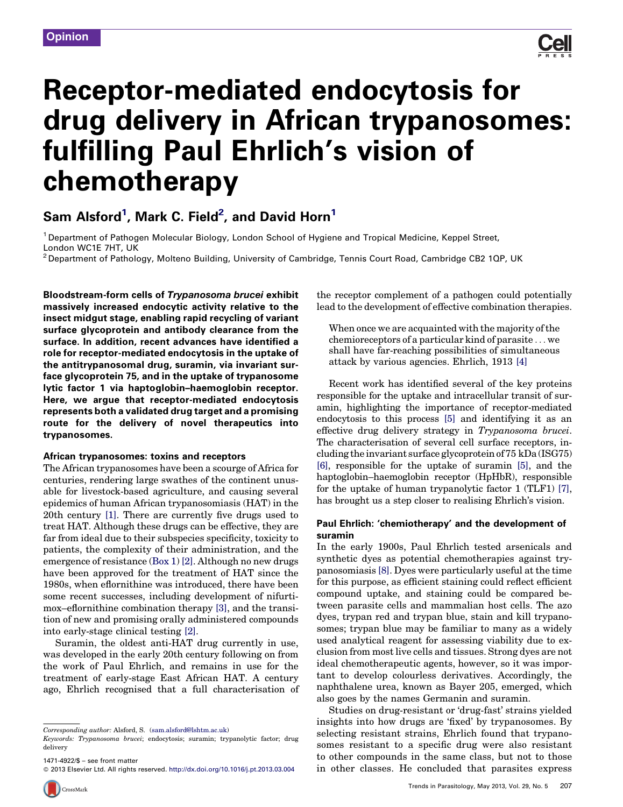

# Receptor-mediated endocytosis for drug delivery in African trypanosomes: fulfilling Paul Ehrlich's vision of chemotherapy

## Sam Alsford<sup>1</sup>, Mark C. Field<sup>2</sup>, and David Horn<sup>1</sup>

<sup>1</sup> Department of Pathogen Molecular Biology, London School of Hygiene and Tropical Medicine, Keppel Street, London WC1E 7HT, UK<br><sup>2</sup> Department of Pathology, Molteno Building, University of Cambridge, Tennis Court Road, Cambridge CB2 1QP, UK

Bloodstream-form cells of Trypanosoma brucei exhibit massively increased endocytic activity relative to the insect midgut stage, enabling rapid recycling of variant surface glycoprotein and antibody clearance from the surface. In addition, recent advances have identified a role for receptor-mediated endocytosis in the uptake of the antitrypanosomal drug, suramin, via invariant surface glycoprotein 75, and in the uptake of trypanosome lytic factor 1 via haptoglobin–haemoglobin receptor. Here, we argue that receptor-mediated endocytosis represents both a validated drug target and a promising route for the delivery of novel therapeutics into trypanosomes.

#### African trypanosomes: toxins and receptors

The African trypanosomes have been a scourge of Africa for centuries, rendering large swathes of the continent unusable for livestock-based agriculture, and causing several epidemics of human African trypanosomiasis (HAT) in the 20th century [\[1\].](#page-4-0) There are currently five drugs used to treat HAT. Although these drugs can be effective, they are far from ideal due to their subspecies specificity, toxicity to patients, the complexity of their administration, and the emergence of resistance ([Box](#page-1-0) 1) [\[2\].](#page-4-0) Although no new drugs have been approved for the treatment of HAT since the 1980s, when eflornithine was introduced, there have been some recent successes, including development of nifurtimox–eflornithine combination therapy [\[3\]](#page-4-0), and the transition of new and promising orally administered compounds into early-stage clinical testing [\[2\].](#page-4-0)

Suramin, the oldest anti-HAT drug currently in use, was developed in the early 20th century following on from the work of Paul Ehrlich, and remains in use for the treatment of early-stage East African HAT. A century ago, Ehrlich recognised that a full characterisation of

1471-4922/\$ – see front matter

the receptor complement of a pathogen could potentially lead to the development of effective combination therapies.

When once we are acquainted with the majority of the chemioreceptors of a particular kind of parasite . . . we shall have far-reaching possibilities of simultaneous attack by various agencies. Ehrlich, 1913 [\[4\]](#page-4-0)

Recent work has identified several of the key proteins responsible for the uptake and intracellular transit of suramin, highlighting the importance of receptor-mediated endocytosis to this process [\[5\]](#page-4-0) and identifying it as an effective drug delivery strategy in Trypanosoma brucei. The characterisation of several cell surface receptors, including the invariant surface glycoprotein of 75 kDa (ISG75) [\[6\],](#page-4-0) responsible for the uptake of suramin [\[5\],](#page-4-0) and the haptoglobin–haemoglobin receptor (HpHbR), responsible for the uptake of human trypanolytic factor 1 (TLF1) [\[7\]](#page-4-0), has brought us a step closer to realising Ehrlich's vision.

### Paul Ehrlich: 'chemiotherapy' and the development of suramin

In the early 1900s, Paul Ehrlich tested arsenicals and synthetic dyes as potential chemotherapies against trypanosomiasis [\[8\]](#page-4-0). Dyes were particularly useful at the time for this purpose, as efficient staining could reflect efficient compound uptake, and staining could be compared between parasite cells and mammalian host cells. The azo dyes, trypan red and trypan blue, stain and kill trypanosomes; trypan blue may be familiar to many as a widely used analytical reagent for assessing viability due to exclusion from mostlive cells and tissues. Strong dyes are not ideal chemotherapeutic agents, however, so it was important to develop colourless derivatives. Accordingly, the naphthalene urea, known as Bayer 205, emerged, which also goes by the names Germanin and suramin.

Studies on drug-resistant or 'drug-fast' strains yielded insights into how drugs are 'fixed' by trypanosomes. By selecting resistant strains, Ehrlich found that trypanosomes resistant to a specific drug were also resistant to other compounds in the same class, but not to those in other classes. He concluded that parasites express

Corresponding author: Alsford, S. [\(sam.alsford@lshtm.ac.uk](mailto:sam.alsford@lshtm.ac.uk))

Keywords: Trypanosoma brucei; endocytosis; suramin; trypanolytic factor; drug delivery

<sup>-</sup> 2013 Elsevier Ltd. All rights reserved. <http://dx.doi.org/10.1016/j.pt.2013.03.004>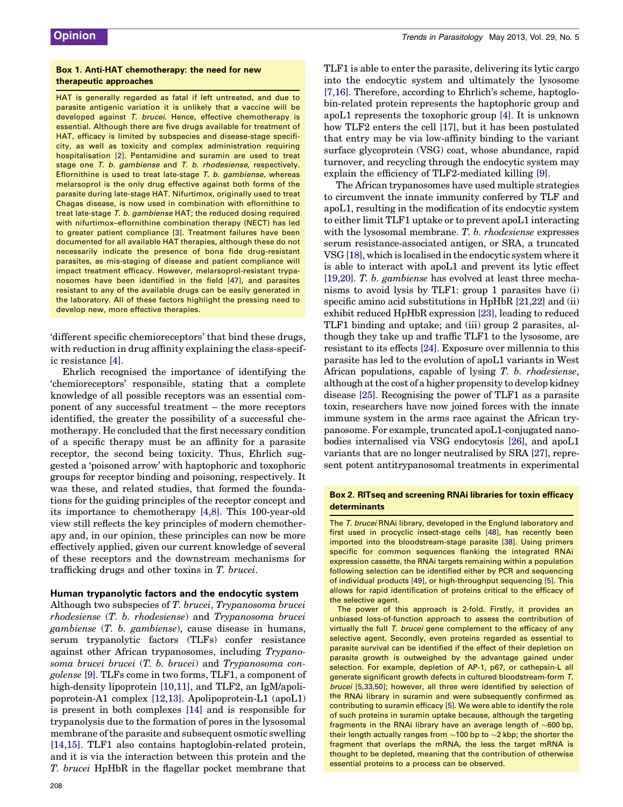### <span id="page-1-0"></span>Box 1. Anti-HAT chemotherapy: the need for new therapeutic approaches

HAT is generally regarded as fatal if left untreated, and due to parasite antigenic variation it is unlikely that a vaccine will be developed against T. brucei. Hence, effective chemotherapy is essential. Although there are five drugs available for treatment of HAT, efficacy is limited by subspecies and disease-stage specificity, as well as toxicity and complex administration requiring hospitalisation [\[2\]](#page-4-0). Pentamidine and suramin are used to treat stage one T. b. gambiense and T. b. rhodesiense, respectively. Eflornithine is used to treat late-stage T. b. gambiense, whereas melarsoprol is the only drug effective against both forms of the parasite during late-stage HAT. Nifurtimox, originally used to treat Chagas disease, is now used in combination with eflornithine to treat late-stage T. b. gambiense HAT; the reduced dosing required with nifurtimox–eflornithine combination therapy (NECT) has led to greater patient compliance [\[3\]](#page-4-0). Treatment failures have been documented for all available HAT therapies, although these do not necessarily indicate the presence of bona fide drug-resistant parasites, as mis-staging of disease and patient compliance will impact treatment efficacy. However, melarsoprol-resistant trypanosomes have been identified in the field [\[47\]](#page-5-0), and parasites resistant to any of the available drugs can be easily generated in the laboratory. All of these factors highlight the pressing need to develop new, more effective therapies.

'different specific chemioreceptors' that bind these drugs, with reduction in drug affinity explaining the class-specific resistance [\[4\]](#page-4-0).

Ehrlich recognised the importance of identifying the 'chemioreceptors' responsible, stating that a complete knowledge of all possible receptors was an essential component of any successful treatment – the more receptors identified, the greater the possibility of a successful chemotherapy. He concluded that the first necessary condition of a specific therapy must be an affinity for a parasite receptor, the second being toxicity. Thus, Ehrlich suggested a 'poisoned arrow' with haptophoric and toxophoric groups for receptor binding and poisoning, respectively. It was these, and related studies, that formed the foundations for the guiding principles of the receptor concept and its importance to chemotherapy [\[4,8\]](#page-4-0). This 100-year-old view still reflects the key principles of modern chemotherapy and, in our opinion, these principles can now be more effectively applied, given our current knowledge of several of these receptors and the downstream mechanisms for trafficking drugs and other toxins in T. brucei.

### Human trypanolytic factors and the endocytic system

Although two subspecies of T. brucei, Trypanosoma brucei rhodesiense (T. b. rhodesiense) and Trypanosoma brucei gambiense (T. b. gambiense), cause disease in humans, serum trypanolytic factors (TLFs) confer resistance against other African trypanosomes, including Trypanosoma brucei brucei (T. b. brucei) and Trypanosoma congolense [\[9\]](#page-4-0). TLFs come in two forms, TLF1, a component of high-density lipoprotein [\[10,11\]](#page-4-0), and TLF2, an IgM/apolipoprotein-A1 complex [\[12,13\].](#page-4-0) Apolipoprotein-L1 (apoL1) is present in both complexes [\[14\]](#page-4-0) and is responsible for trypanolysis due to the formation of pores in the lysosomal membrane of the parasite and subsequent osmotic swelling [\[14,15\]](#page-4-0). TLF1 also contains haptoglobin-related protein, and it is via the interaction between this protein and the T. brucei HpHbR in the flagellar pocket membrane that TLF1 is able to enter the parasite, delivering its lytic cargo into the endocytic system and ultimately the lysosome [\[7,16\].](#page-4-0) Therefore, according to Ehrlich's scheme, haptoglobin-related protein represents the haptophoric group and apoL1 represents the toxophoric group [\[4\].](#page-4-0) It is unknown how TLF2 enters the cell [\[17\],](#page-4-0) but it has been postulated that entry may be via low-affinity binding to the variant surface glycoprotein (VSG) coat, whose abundance, rapid turnover, and recycling through the endocytic system may explain the efficiency of TLF2-mediated killing [\[9\].](#page-4-0)

The African trypanosomes have used multiple strategies to circumvent the innate immunity conferred by TLF and apoL1, resulting in the modification of its endocytic system to either limit TLF1 uptake or to prevent apoL1 interacting with the lysosomal membrane. T. b. *rhodesiense* expresses serum resistance-associated antigen, or SRA, a truncated VSG [\[18\]](#page-4-0), which is localised in the endocytic system where it is able to interact with apoL1 and prevent its lytic effect [\[19,20\].](#page-4-0) T. b. gambiense has evolved at least three mechanisms to avoid lysis by TLF1: group 1 parasites have (i) specific amino acid substitutions in HpHbR [\[21,22\]](#page-4-0) and (ii) exhibit reduced HpHbR expression [\[23\]](#page-4-0), leading to reduced TLF1 binding and uptake; and (iii) group 2 parasites, although they take up and traffic TLF1 to the lysosome, are resistant to its effects [\[24\].](#page-4-0) Exposure over millennia to this parasite has led to the evolution of apoL1 variants in West African populations, capable of lysing T. b. rhodesiense, although atthe cost of a higher propensity to develop kidney disease [\[25\]](#page-4-0). Recognising the power of TLF1 as a parasite toxin, researchers have now joined forces with the innate immune system in the arms race against the African trypanosome. For example, truncated apoL1-conjugated nanobodies internalised via VSG endocytosis [\[26\]](#page-4-0), and apoL1 variants that are no longer neutralised by SRA [\[27\],](#page-4-0) represent potent antitrypanosomal treatments in experimental

## Box 2. RITseq and screening RNAi libraries for toxin efficacy determinants

The T. brucei RNAi library, developed in the Englund laboratory and first used in procyclic insect-stage cells [\[48\],](#page-5-0) has recently been imported into the bloodstream-stage parasite [\[38\].](#page-4-0) Using primers specific for common sequences flanking the integrated RNAi expression cassette, the RNAi targets remaining within a population following selection can be identified either by PCR and sequencing of individual products [\[49\],](#page-5-0) or high-throughput sequencing [\[5\].](#page-4-0) This allows for rapid identification of proteins critical to the efficacy of the selective agent.

The power of this approach is 2-fold. Firstly, it provides an unbiased loss-of-function approach to assess the contribution of virtually the full T. brucei gene complement to the efficacy of any selective agent. Secondly, even proteins regarded as essential to parasite survival can be identified if the effect of their depletion on parasite growth is outweighed by the advantage gained under selection. For example, depletion of AP-1, p67, or cathepsin-L all generate significant growth defects in cultured bloodstream-form T. brucei [\[5,33,50\]](#page-4-0); however, all three were identified by selection of the RNAi library in suramin and were subsequently confirmed as contributing to suramin efficacy [\[5\].](#page-4-0) We were able to identify the role of such proteins in suramin uptake because, although the targeting fragments in the RNAi library have an average length of  $\sim$  600 bp, their length actually ranges from  $\sim$ 100 bp to  $\sim$ 2 kbp; the shorter the fragment that overlaps the mRNA, the less the target mRNA is thought to be depleted, meaning that the contribution of otherwise essential proteins to a process can be observed.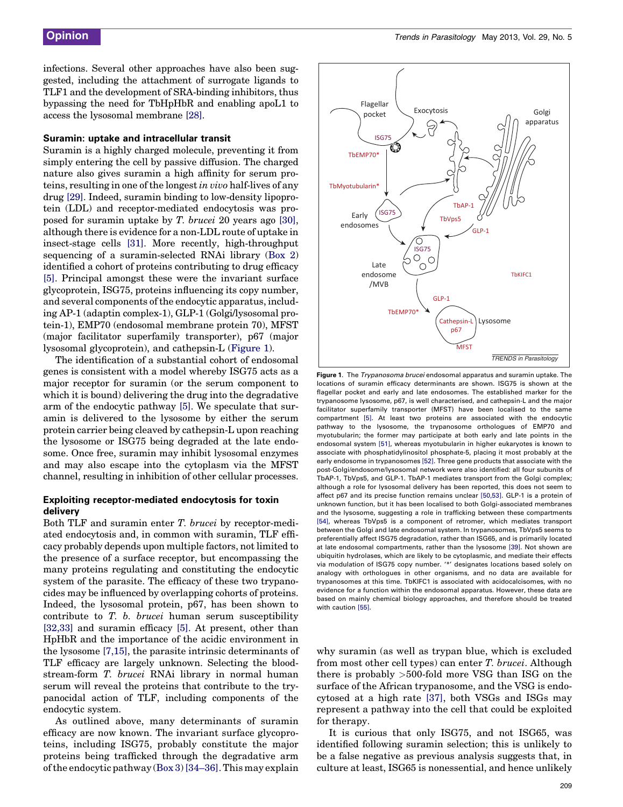<span id="page-2-0"></span>infections. Several other approaches have also been suggested, including the attachment of surrogate ligands to TLF1 and the development of SRA-binding inhibitors, thus bypassing the need for TbHpHbR and enabling apoL1 to access the lysosomal membrane [\[28\].](#page-4-0)

#### Suramin: uptake and intracellular transit

Suramin is a highly charged molecule, preventing it from simply entering the cell by passive diffusion. The charged nature also gives suramin a high affinity for serum proteins, resulting in one of the longest in vivo half-lives of any drug [\[29\].](#page-4-0) Indeed, suramin binding to low-density lipoprotein (LDL) and receptor-mediated endocytosis was proposed for suramin uptake by T. brucei 20 years ago [\[30\]](#page-4-0), although there is evidence for a non-LDL route of uptake in insect-stage cells [\[31\]](#page-4-0). More recently, high-throughput sequencing of a suramin-selected RNAi library ([Box](#page-1-0) 2) identified a cohort of proteins contributing to drug efficacy [\[5\].](#page-4-0) Principal amongst these were the invariant surface glycoprotein, ISG75, proteins influencing its copy number, and several components of the endocytic apparatus, including AP-1 (adaptin complex-1), GLP-1 (Golgi/lysosomal protein-1), EMP70 (endosomal membrane protein 70), MFST (major facilitator superfamily transporter), p67 (major lysosomal glycoprotein), and cathepsin-L (Figure 1).

The identification of a substantial cohort of endosomal genes is consistent with a model whereby ISG75 acts as a major receptor for suramin (or the serum component to which it is bound) delivering the drug into the degradative arm of the endocytic pathway [\[5\].](#page-4-0) We speculate that suramin is delivered to the lysosome by either the serum protein carrier being cleaved by cathepsin-L upon reaching the lysosome or ISG75 being degraded at the late endosome. Once free, suramin may inhibit lysosomal enzymes and may also escape into the cytoplasm via the MFST channel, resulting in inhibition of other cellular processes.

#### Exploiting receptor-mediated endocytosis for toxin delivery

Both TLF and suramin enter T. brucei by receptor-mediated endocytosis and, in common with suramin, TLF efficacy probably depends upon multiple factors, not limited to the presence of a surface receptor, but encompassing the many proteins regulating and constituting the endocytic system of the parasite. The efficacy of these two trypanocides may be influenced by overlapping cohorts of proteins. Indeed, the lysosomal protein, p67, has been shown to contribute to T. b. brucei human serum susceptibility [\[32,33\]](#page-4-0) and suramin efficacy [\[5\]](#page-4-0). At present, other than HpHbR and the importance of the acidic environment in the lysosome [\[7,15\]](#page-4-0), the parasite intrinsic determinants of TLF efficacy are largely unknown. Selecting the bloodstream-form T. brucei RNAi library in normal human serum will reveal the proteins that contribute to the trypanocidal action of TLF, including components of the endocytic system.

As outlined above, many determinants of suramin efficacy are now known. The invariant surface glycoproteins, including ISG75, probably constitute the major proteins being trafficked through the degradative arm ofthe endocytic pathway ([Box](#page-3-0) 3) [\[34–36\]](#page-4-0). This may explain



Figure 1. The *Trypanosoma brucei* endosomal apparatus and suramin uptake. The locations of suramin efficacy determinants are shown. ISG75 is shown at the flagellar pocket and early and late endosomes. The established marker for the trypanosome lysosome, p67, is well characterised, and cathepsin-L and the major facilitator superfamily transporter (MFST) have been localised to the same compartment [\[5\]](#page-4-0). At least two proteins are associated with the endocytic pathway to the lysosome, the trypanosome orthologues of EMP70 and myotubularin; the former may participate at both early and late points in the endosomal system [\[51\],](#page-5-0) whereas myotubularin in higher eukaryotes is known to associate with phosphatidylinositol phosphate-5, placing it most probably at the early endosome in trypanosomes [\[52\].](#page-5-0) Three gene products that associate with the post-Golgi/endosome/lysosomal network were also identified: all four subunits of TbAP-1, TbVps5, and GLP-1. TbAP-1 mediates transport from the Golgi complex; although a role for lysosomal delivery has been reported, this does not seem to affect p67 and its precise function remains unclear [\[50,53\]](#page-5-0). GLP-1 is a protein of unknown function, but it has been localised to both Golgi-associated membranes and the lysosome, suggesting a role in trafficking between these compartments [\[54\],](#page-5-0) whereas TbVps5 is a component of retromer, which mediates transport between the Golgi and late endosomal system. In trypanosomes, TbVps5 seems to preferentially affect ISG75 degradation, rather than ISG65, and is primarily located at late endosomal compartments, rather than the lysosome [\[39\].](#page-4-0) Not shown are ubiquitin hydrolases, which are likely to be cytoplasmic, and mediate their effects via modulation of ISG75 copy number. '\*' designates locations based solely on analogy with orthologues in other organisms, and no data are available for trypanosomes at this time. TbKIFC1 is associated with acidocalcisomes, with no evidence for a function within the endosomal apparatus. However, these data are based on mainly chemical biology approaches, and therefore should be treated with caution [\[55\]](#page-5-0).

why suramin (as well as trypan blue, which is excluded from most other cell types) can enter T. brucei. Although there is probably >500-fold more VSG than ISG on the surface of the African trypanosome, and the VSG is endocytosed at a high rate [\[37\],](#page-4-0) both VSGs and ISGs may represent a pathway into the cell that could be exploited for therapy.

It is curious that only ISG75, and not ISG65, was identified following suramin selection; this is unlikely to be a false negative as previous analysis suggests that, in culture at least, ISG65 is nonessential, and hence unlikely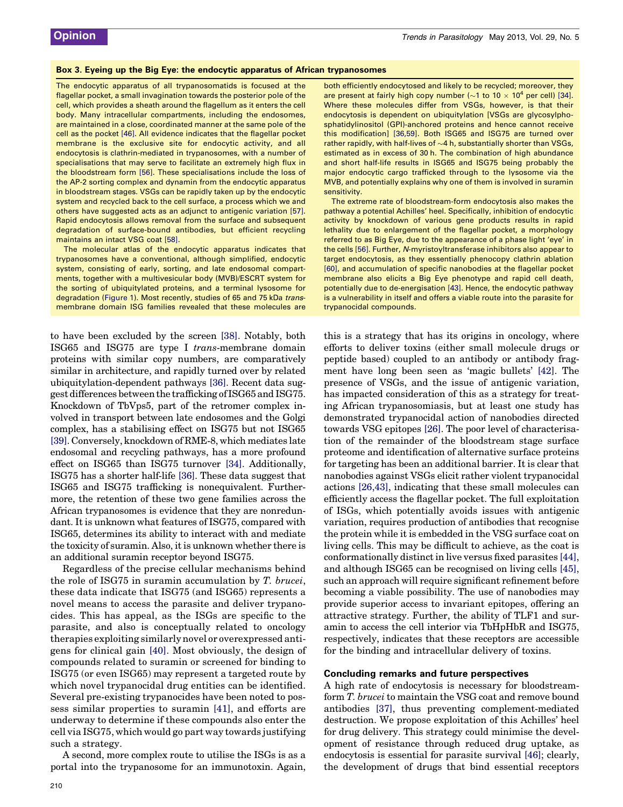#### <span id="page-3-0"></span>Box 3. Eyeing up the Big Eye: the endocytic apparatus of African trypanosomes

The endocytic apparatus of all trypanosomatids is focused at the flagellar pocket, a small invagination towards the posterior pole of the cell, which provides a sheath around the flagellum as it enters the cell body. Many intracellular compartments, including the endosomes, are maintained in a close, coordinated manner at the same pole of the cell as the pocket [\[46\]](#page-5-0). All evidence indicates that the flagellar pocket membrane is the exclusive site for endocytic activity, and all endocytosis is clathrin-mediated in trypanosomes, with a number of specialisations that may serve to facilitate an extremely high flux in the bloodstream form [\[56\]](#page-5-0). These specialisations include the loss of the AP-2 sorting complex and dynamin from the endocytic apparatus in bloodstream stages. VSGs can be rapidly taken up by the endocytic system and recycled back to the cell surface, a process which we and others have suggested acts as an adjunct to antigenic variation [\[57\].](#page-5-0) Rapid endocytosis allows removal from the surface and subsequent degradation of surface-bound antibodies, but efficient recycling maintains an intact VSG coat [\[58\]](#page-5-0).

The molecular atlas of the endocytic apparatus indicates that trypanosomes have a conventional, although simplified, endocytic system, consisting of early, sorting, and late endosomal compartments, together with a multivesicular body (MVB)/ESCRT system for the sorting of ubiquitylated proteins, and a terminal lysosome for degradation ([Figure](#page-2-0) 1). Most recently, studies of 65 and 75 kDa transmembrane domain ISG families revealed that these molecules are

to have been excluded by the screen [\[38\].](#page-4-0) Notably, both ISG65 and ISG75 are type I trans-membrane domain proteins with similar copy numbers, are comparatively similar in architecture, and rapidly turned over by related ubiquitylation-dependent pathways [\[36\]](#page-4-0). Recent data suggest differences betweenthe trafficking of ISG65 and ISG75. Knockdown of TbVps5, part of the retromer complex involved in transport between late endosomes and the Golgi complex, has a stabilising effect on ISG75 but not ISG65 [\[39\].](#page-4-0) Conversely, knockdown of RME-8, which mediates late endosomal and recycling pathways, has a more profound effect on ISG65 than ISG75 turnover [\[34\].](#page-4-0) Additionally, ISG75 has a shorter half-life [\[36\].](#page-4-0) These data suggest that ISG65 and ISG75 trafficking is nonequivalent. Furthermore, the retention of these two gene families across the African trypanosomes is evidence that they are nonredundant. It is unknown what features of ISG75, compared with ISG65, determines its ability to interact with and mediate the toxicity of suramin. Also, it is unknown whether there is an additional suramin receptor beyond ISG75.

Regardless of the precise cellular mechanisms behind the role of ISG75 in suramin accumulation by T. brucei, these data indicate that ISG75 (and ISG65) represents a novel means to access the parasite and deliver trypanocides. This has appeal, as the ISGs are specific to the parasite, and also is conceptually related to oncology therapies exploiting similarly novel or overexpressed antigens for clinical gain [\[40\].](#page-4-0) Most obviously, the design of compounds related to suramin or screened for binding to ISG75 (or even ISG65) may represent a targeted route by which novel trypanocidal drug entities can be identified. Several pre-existing trypanocides have been noted to possess similar properties to suramin [\[41\],](#page-4-0) and efforts are underway to determine if these compounds also enter the cell via ISG75, which would go part way towards justifying such a strategy.

A second, more complex route to utilise the ISGs is as a portal into the trypanosome for an immunotoxin. Again, both efficiently endocytosed and likely to be recycled; moreover, they are present at fairly high copy number ( $\sim$ 1 to 10  $\times$  10<sup>4</sup> per cell) [\[34\].](#page-4-0) Where these molecules differ from VSGs, however, is that their endocytosis is dependent on ubiquitylation [VSGs are glycosylphosphatidylinositol (GPI)-anchored proteins and hence cannot receive this modification] [\[36,59\].](#page-4-0) Both ISG65 and ISG75 are turned over rather rapidly, with half-lives of  $\sim$ 4 h, substantially shorter than VSGs, estimated as in excess of 30 h. The combination of high abundance and short half-life results in ISG65 and ISG75 being probably the major endocytic cargo trafficked through to the lysosome via the MVB, and potentially explains why one of them is involved in suramin sensitivity.

The extreme rate of bloodstream-form endocytosis also makes the pathway a potential Achilles' heel. Specifically, inhibition of endocytic activity by knockdown of various gene products results in rapid lethality due to enlargement of the flagellar pocket, a morphology referred to as Big Eye, due to the appearance of a phase light 'eye' in the cells [\[56\]](#page-5-0). Further, N-myristoyltransferase inhibitors also appear to target endocytosis, as they essentially phenocopy clathrin ablation [\[60\],](#page-5-0) and accumulation of specific nanobodies at the flagellar pocket membrane also elicits a Big Eye phenotype and rapid cell death, potentially due to de-energisation [\[43\].](#page-5-0) Hence, the endocytic pathway is a vulnerability in itself and offers a viable route into the parasite for trypanocidal compounds.

this is a strategy that has its origins in oncology, where efforts to deliver toxins (either small molecule drugs or peptide based) coupled to an antibody or antibody fragment have long been seen as 'magic bullets' [\[42\]](#page-5-0). The presence of VSGs, and the issue of antigenic variation, has impacted consideration of this as a strategy for treating African trypanosomiasis, but at least one study has demonstrated trypanocidal action of nanobodies directed towards VSG epitopes [\[26\].](#page-4-0) The poor level of characterisation of the remainder of the bloodstream stage surface proteome and identification of alternative surface proteins for targeting has been an additional barrier. It is clear that nanobodies against VSGs elicit rather violent trypanocidal actions [\[26,43\],](#page-4-0) indicating that these small molecules can efficiently access the flagellar pocket. The full exploitation of ISGs, which potentially avoids issues with antigenic variation, requires production of antibodies that recognise the protein while it is embedded in the VSG surface coat on living cells. This may be difficult to achieve, as the coat is conformationally distinctin live versus fixed parasites [\[44\]](#page-5-0), and although ISG65 can be recognised on living cells [\[45\]](#page-5-0), such an approach will require significant refinement before becoming a viable possibility. The use of nanobodies may provide superior access to invariant epitopes, offering an attractive strategy. Further, the ability of TLF1 and suramin to access the cell interior via TbHpHbR and ISG75, respectively, indicates that these receptors are accessible for the binding and intracellular delivery of toxins.

### Concluding remarks and future perspectives

A high rate of endocytosis is necessary for bloodstreamform T. brucei to maintain the VSG coat and remove bound antibodies [\[37\]](#page-4-0), thus preventing complement-mediated destruction. We propose exploitation of this Achilles' heel for drug delivery. This strategy could minimise the development of resistance through reduced drug uptake, as endocytosis is essential for parasite survival [\[46\]](#page-5-0); clearly, the development of drugs that bind essential receptors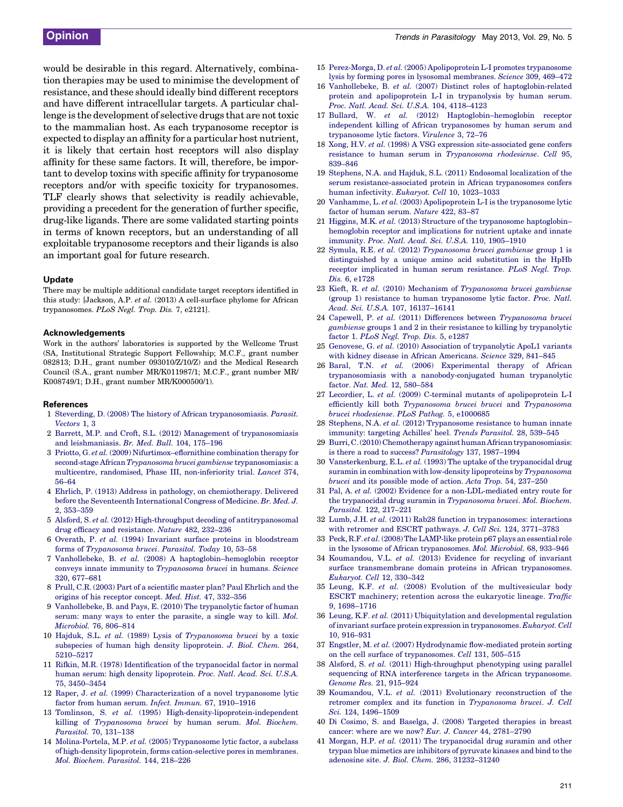<span id="page-4-0"></span>would be desirable in this regard. Alternatively, combination therapies may be used to minimise the development of resistance, and these should ideally bind different receptors and have different intracellular targets. A particular challenge is the development of selective drugs that are not toxic to the mammalian host. As each trypanosome receptor is expected to display an affinity for a particular host nutrient, it is likely that certain host receptors will also display affinity for these same factors. It will, therefore, be important to develop toxins with specific affinity for trypanosome receptors and/or with specific toxicity for trypanosomes. TLF clearly shows that selectivity is readily achievable, providing a precedent for the generation of further specific, drug-like ligands. There are some validated starting points in terms of known receptors, but an understanding of all exploitable trypanosome receptors and their ligands is also an important goal for future research.

#### Update

There may be multiple additional candidate target receptors identified in this study: [Jackson, A.P. et al. (2013) A cell-surface phylome for African trypanosomes. PLoS Negl. Trop. Dis. 7, e2121].

#### Acknowledgements

Work in the authors' laboratories is supported by the Wellcome Trust (SA, Institutional Strategic Support Fellowship; M.C.F., grant number 082813; D.H., grant number 093010/Z/10/Z) and the Medical Research Council (S.A., grant number MR/K011987/1; M.C.F., grant number MR/ K008749/1; D.H., grant number MR/K000500/1).

#### References

- 1 Steverding, D. (2008) The history of African [trypanosomiasis.](http://refhub.elsevier.com/S1471-4922(13)00038-X/sbref0005) Parasit. [Vectors](http://refhub.elsevier.com/S1471-4922(13)00038-X/sbref0005) 1, 3
- 2 Barrett, M.P. and Croft, S.L. (2012) Management of [trypanosomiasis](http://refhub.elsevier.com/S1471-4922(13)00038-X/sbref0010) and [leishmaniasis.](http://refhub.elsevier.com/S1471-4922(13)00038-X/sbref0010) Br. Med. Bull. 104, 175–196
- 3 Priotto, G. et al. (2009) [Nifurtimox–eflornithine](http://refhub.elsevier.com/S1471-4922(13)00038-X/sbref0015) combination therapy for second-stage African Trypanosoma brucei gambiense [trypanosomiasis:](http://refhub.elsevier.com/S1471-4922(13)00038-X/sbref0015) a multicentre, randomised, Phase III, [non-inferiority](http://refhub.elsevier.com/S1471-4922(13)00038-X/sbref0015) trial. Lancet 374, [56–64](http://refhub.elsevier.com/S1471-4922(13)00038-X/sbref0015)
- 4 Ehrlich, P. (1913) Address in pathology, on [chemiotherapy.](http://refhub.elsevier.com/S1471-4922(13)00038-X/sbref0020) Delivered before the Seventeenth [International](http://refhub.elsevier.com/S1471-4922(13)00038-X/sbref0020) Congress of Medicine. Br. Med. J. 2, [353–359](http://refhub.elsevier.com/S1471-4922(13)00038-X/sbref0020)
- 5 Alsford, S. et al. (2012) High-throughput decoding of [antitrypanosomal](http://refhub.elsevier.com/S1471-4922(13)00038-X/sbref0025) drug efficacy and [resistance.](http://refhub.elsevier.com/S1471-4922(13)00038-X/sbref0025) Nature 482, 232–236
- 6 Overath, P. et al. (1994) Invariant surface proteins in [bloodstream](http://refhub.elsevier.com/S1471-4922(13)00038-X/sbref0030) forms of [Trypanosoma](http://refhub.elsevier.com/S1471-4922(13)00038-X/sbref0030) brucei. Parasitol. Today 10, 53–58
- 7 Vanhollebeke, B. et al. (2008) A [haptoglobin–hemoglobin](http://refhub.elsevier.com/S1471-4922(13)00038-X/sbref0035) receptor conveys innate immunity to [Trypanosoma](http://refhub.elsevier.com/S1471-4922(13)00038-X/sbref0035) brucei in humans. Science 320, [677–681](http://refhub.elsevier.com/S1471-4922(13)00038-X/sbref0035)
- 8 Prull, C.R. (2003) Part of a [scientific](http://refhub.elsevier.com/S1471-4922(13)00038-X/sbref0040) master plan? Paul Ehrlich and the origins of his receptor concept. Med. Hist. 47, [332–356](http://refhub.elsevier.com/S1471-4922(13)00038-X/sbref0040)
- [Vanhollebeke,](http://refhub.elsevier.com/S1471-4922(13)00038-X/sbref0045) B. and Pays, E. (2010) The trypanolytic factor of human serum: many ways to enter the [parasite,](http://refhub.elsevier.com/S1471-4922(13)00038-X/sbref0045) a single way to kill. Mol. [Microbiol.](http://refhub.elsevier.com/S1471-4922(13)00038-X/sbref0045) 76, 806–814
- 10 Hajduk, S.L. et al. (1989) Lysis of [Trypanosoma](http://refhub.elsevier.com/S1471-4922(13)00038-X/sbref0050) brucei by a toxic subspecies of human high density [lipoprotein.](http://refhub.elsevier.com/S1471-4922(13)00038-X/sbref0050) J. Biol. Chem. 264, [5210–5217](http://refhub.elsevier.com/S1471-4922(13)00038-X/sbref0050)
- 11 Rifkin, M.R. (1978) [Identification](http://refhub.elsevier.com/S1471-4922(13)00038-X/sbref0055) of the trypanocidal factor in normal human serum: high density [lipoprotein.](http://refhub.elsevier.com/S1471-4922(13)00038-X/sbref0055) Proc. Natl. Acad. Sci. U.S.A. 75, [3450–3454](http://refhub.elsevier.com/S1471-4922(13)00038-X/sbref0055)
- 12 Raper, J. et al. (1999) [Characterization](http://refhub.elsevier.com/S1471-4922(13)00038-X/sbref0060) of a novel trypanosome lytic factor from human serum. Infect. Immun. 67, [1910–1916](http://refhub.elsevier.com/S1471-4922(13)00038-X/sbref0060)
- 13 Tomlinson, S. et al. (1995) [High-density-lipoprotein-independent](http://refhub.elsevier.com/S1471-4922(13)00038-X/sbref0065) killing of [Trypanosoma](http://refhub.elsevier.com/S1471-4922(13)00038-X/sbref0065) brucei by human serum. Mol. Biochem. [Parasitol.](http://refhub.elsevier.com/S1471-4922(13)00038-X/sbref0065) 70, 131–138
- 14 [Molina-Portela,](http://refhub.elsevier.com/S1471-4922(13)00038-X/sbref0070) M.P. et al. (2005) Trypanosome lytic factor, a subclass of high-density lipoprotein, forms [cation-selective](http://refhub.elsevier.com/S1471-4922(13)00038-X/sbref0070) pores in membranes. Mol. Biochem. [Parasitol.](http://refhub.elsevier.com/S1471-4922(13)00038-X/sbref0070) 144, 218–226
- 15 Perez-Morga, D. et al. (2005) [Apolipoprotein](http://refhub.elsevier.com/S1471-4922(13)00038-X/sbref0075) L-I promotes trypanosome lysis by forming pores in lysosomal [membranes.](http://refhub.elsevier.com/S1471-4922(13)00038-X/sbref0075) Science 309, 469–472
- 16 Vanhollebeke, B. et al. (2007) Distinct roles of [haptoglobin-related](http://refhub.elsevier.com/S1471-4922(13)00038-X/sbref0080) protein and [apolipoprotein](http://refhub.elsevier.com/S1471-4922(13)00038-X/sbref0080) L-I in trypanolysis by human serum. Proc. Natl. Acad. Sci. U.S.A. 104, [4118–4123](http://refhub.elsevier.com/S1471-4922(13)00038-X/sbref0080)
- 17 Bullard, W. et al. (2012) [Haptoglobin–hemoglobin](http://refhub.elsevier.com/S1471-4922(13)00038-X/sbref0085) receptor independent killing of African [trypanosomes](http://refhub.elsevier.com/S1471-4922(13)00038-X/sbref0085) by human serum and [trypanosome](http://refhub.elsevier.com/S1471-4922(13)00038-X/sbref0085) lytic factors. Virulence 3, 72–76
- 18 Xong, H.V. et al. (1998) A VSG expression [site-associated](http://refhub.elsevier.com/S1471-4922(13)00038-X/sbref0090) gene confers resistance to human serum in [Trypanosoma](http://refhub.elsevier.com/S1471-4922(13)00038-X/sbref0090) rhodesiense. Cell 95, [839–846](http://refhub.elsevier.com/S1471-4922(13)00038-X/sbref0090)
- 19 Stephens, N.A. and Hajduk, S.L. (2011) Endosomal [localization](http://refhub.elsevier.com/S1471-4922(13)00038-X/sbref0095) of the serum [resistance-associated](http://refhub.elsevier.com/S1471-4922(13)00038-X/sbref0095) protein in African trypanosomes confers human infectivity. Eukaryot. Cell 10, [1023–1033](http://refhub.elsevier.com/S1471-4922(13)00038-X/sbref0095)
- 20 Vanhamme, L. et al. (2003) [Apolipoprotein](http://refhub.elsevier.com/S1471-4922(13)00038-X/sbref0100) L-I is the trypanosome lytic factor of [human](http://refhub.elsevier.com/S1471-4922(13)00038-X/sbref0100) serum. Nature 422, 83–87
- 21 Higgins, M.K. et al. (2013) Structure of the trypanosome [haptoglobin–](http://refhub.elsevier.com/S1471-4922(13)00038-X/sbref0105) hemoglobin receptor and [implications](http://refhub.elsevier.com/S1471-4922(13)00038-X/sbref0105) for nutrient uptake and innate immunity. Proc. Natl. Acad. Sci. U.S.A. 110, [1905–1910](http://refhub.elsevier.com/S1471-4922(13)00038-X/sbref0105)
- 22 Symula, R.E. et al. (2012) [Trypanosoma](http://refhub.elsevier.com/S1471-4922(13)00038-X/sbref0110) brucei gambiense group 1 is [distinguished](http://refhub.elsevier.com/S1471-4922(13)00038-X/sbref0110) by a unique amino acid substitution in the HpHb receptor implicated in human serum [resistance.](http://refhub.elsevier.com/S1471-4922(13)00038-X/sbref0110) PLoS Negl. Trop. Dis. 6, [e1728](http://refhub.elsevier.com/S1471-4922(13)00038-X/sbref0110)
- 23 Kieft, R. et al. (2010) Mechanism of [Trypanosoma](http://refhub.elsevier.com/S1471-4922(13)00038-X/sbref0115) brucei gambiense (group 1) resistance to human [trypanosome](http://refhub.elsevier.com/S1471-4922(13)00038-X/sbref0115) lytic factor. Proc. Natl. Acad. Sci. U.S.A. 107, [16137–16141](http://refhub.elsevier.com/S1471-4922(13)00038-X/sbref0115)
- 24 Capewell, P. et al. (2011) Differences between [Trypanosoma](http://refhub.elsevier.com/S1471-4922(13)00038-X/sbref0120) brucei gambiense groups 1 and 2 in their resistance to killing by [trypanolytic](http://refhub.elsevier.com/S1471-4922(13)00038-X/sbref0120) factor 1. PLoS Negl. Trop. Dis. 5, [e1287](http://refhub.elsevier.com/S1471-4922(13)00038-X/sbref0120)
- 25 Genovese, G. et al. (2010) Association of [trypanolytic](http://refhub.elsevier.com/S1471-4922(13)00038-X/sbref0125) ApoL1 variants with kidney disease in African [Americans.](http://refhub.elsevier.com/S1471-4922(13)00038-X/sbref0125) Science 329, 841–845
- 26 Baral, T.N. et al. (2006) [Experimental](http://refhub.elsevier.com/S1471-4922(13)00038-X/sbref0130) therapy of African trypanosomiasis with a [nanobody-conjugated](http://refhub.elsevier.com/S1471-4922(13)00038-X/sbref0130) human trypanolytic factor. Nat. Med. 12, [580–584](http://refhub.elsevier.com/S1471-4922(13)00038-X/sbref0130)
- 27 Lecordier, L. et al. (2009) C-terminal mutants of [apolipoprotein](http://refhub.elsevier.com/S1471-4922(13)00038-X/sbref0135) L-I efficiently kill both Trypanosoma brucei brucei and [Trypanosoma](http://refhub.elsevier.com/S1471-4922(13)00038-X/sbref0135) brucei [rhodesiense](http://refhub.elsevier.com/S1471-4922(13)00038-X/sbref0135). PLoS Pathog. 5, e1000685
- 28 Stephens, N.A. et al. (2012) [Trypanosome](http://refhub.elsevier.com/S1471-4922(13)00038-X/sbref0140) resistance to human innate [immunity:](http://refhub.elsevier.com/S1471-4922(13)00038-X/sbref0140) targeting Achilles' heel. Trends Parasitol. 28, 539–545
- 29 Burri, C.(2010) Chemotherapy against human African [trypanosomiasis:](http://refhub.elsevier.com/S1471-4922(13)00038-X/sbref0145) is there a road to success? [Parasitology](http://refhub.elsevier.com/S1471-4922(13)00038-X/sbref0145) 137, 1987–1994
- 30 [Vansterkenburg,](http://refhub.elsevier.com/S1471-4922(13)00038-X/sbref0150) E.L. et al. (1993) The uptake of the trypanocidal drug suramin in combination with low-density lipoproteins by [Trypanosoma](http://refhub.elsevier.com/S1471-4922(13)00038-X/sbref0150) brucei and its possible mode of action. Acta Trop. 54, [237–250](http://refhub.elsevier.com/S1471-4922(13)00038-X/sbref0150)
- 31 Pal, A. et al. (2002) Evidence for a [non-LDL-mediated](http://refhub.elsevier.com/S1471-4922(13)00038-X/sbref0155) entry route for the trypanocidal drug suramin in [Trypanosoma](http://refhub.elsevier.com/S1471-4922(13)00038-X/sbref0155) brucei. Mol. Biochem. [Parasitol.](http://refhub.elsevier.com/S1471-4922(13)00038-X/sbref0155) 122, 217–221
- 32 Lumb, J.H. et al. (2011) Rab28 function in [trypanosomes:](http://refhub.elsevier.com/S1471-4922(13)00038-X/sbref0160) interactions with retromer and ESCRT pathways. J. Cell Sci. 124, [3771–3783](http://refhub.elsevier.com/S1471-4922(13)00038-X/sbref0160)
- 33 Peck, R.F. et al.(2008)The [LAMP-like](http://refhub.elsevier.com/S1471-4922(13)00038-X/sbref0165) protein p67 plays an essential role in the lysosome of African [trypanosomes.](http://refhub.elsevier.com/S1471-4922(13)00038-X/sbref0165) Mol. Microbiol. 68, 933–946
- 34 [Koumandou,](http://refhub.elsevier.com/S1471-4922(13)00038-X/sbref0170) V.L. et al. (2013) Evidence for recycling of invariant surface [transmembrane](http://refhub.elsevier.com/S1471-4922(13)00038-X/sbref0170) domain proteins in African trypanosomes. [Eukaryot.](http://refhub.elsevier.com/S1471-4922(13)00038-X/sbref0170) Cell 12, 330–342
- 35 Leung, K.F. et al. (2008) Evolution of the [multivesicular](http://refhub.elsevier.com/S1471-4922(13)00038-X/sbref0175) body ESCRT [machinery;](http://refhub.elsevier.com/S1471-4922(13)00038-X/sbref0175) retention across the eukaryotic lineage. Traffic 9, [1698–1716](http://refhub.elsevier.com/S1471-4922(13)00038-X/sbref0175)
- 36 Leung, K.F. et al. (2011) [Ubiquitylation](http://refhub.elsevier.com/S1471-4922(13)00038-X/sbref0180) and developmental regulation of invariant surface protein expression in [trypanosomes.](http://refhub.elsevier.com/S1471-4922(13)00038-X/sbref0180) Eukaryot. Cell 10, [916–931](http://refhub.elsevier.com/S1471-4922(13)00038-X/sbref0180)
- 37 Engstler, M. et al. (2007) [Hydrodynamic](http://refhub.elsevier.com/S1471-4922(13)00038-X/sbref0185) flow-mediated protein sorting on the cell surface of [trypanosomes.](http://refhub.elsevier.com/S1471-4922(13)00038-X/sbref0185) Cell 131, 505–515
- 38 Alsford, S. et al. (2011) [High-throughput](http://refhub.elsevier.com/S1471-4922(13)00038-X/sbref0190) phenotyping using parallel sequencing of RNA interference targets in the African [trypanosome.](http://refhub.elsevier.com/S1471-4922(13)00038-X/sbref0190) Genome Res. 21, [915–924](http://refhub.elsevier.com/S1471-4922(13)00038-X/sbref0190)
- 39 Koumandou, V.L. et al. (2011) Evolutionary [reconstruction](http://refhub.elsevier.com/S1471-4922(13)00038-X/sbref0195) of the retromer complex and its function in [Trypanosoma](http://refhub.elsevier.com/S1471-4922(13)00038-X/sbref0195) brucei. J. Cell Sci. 124, [1496–1509](http://refhub.elsevier.com/S1471-4922(13)00038-X/sbref0195)
- 40 Di Cosimo, S. and Baselga, J. (2008) Targeted [therapies](http://refhub.elsevier.com/S1471-4922(13)00038-X/sbref0200) in breast cancer: where are we now? Eur. J. Cancer 44, [2781–2790](http://refhub.elsevier.com/S1471-4922(13)00038-X/sbref0200)
- 41 Morgan, H.P. et al. (2011) The [trypanocidal](http://refhub.elsevier.com/S1471-4922(13)00038-X/sbref0205) drug suramin and other trypan blue mimetics are [inhibitors](http://refhub.elsevier.com/S1471-4922(13)00038-X/sbref0205) of pyruvate kinases and bind to the adenosine site. J. Biol. Chem. 286, [31232–31240](http://refhub.elsevier.com/S1471-4922(13)00038-X/sbref0205)